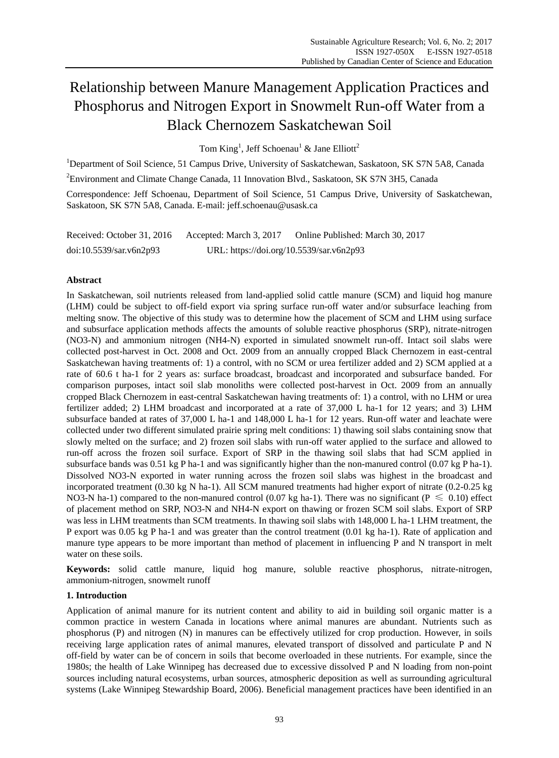# Relationship between Manure Management Application Practices and Phosphorus and Nitrogen Export in Snowmelt Run-off Water from a Black Chernozem Saskatchewan Soil

Tom King<sup>1</sup>, Jeff Schoenau<sup>1</sup> & Jane Elliott<sup>2</sup>

<sup>1</sup>Department of Soil Science, 51 Campus Drive, University of Saskatchewan, Saskatoon, SK S7N 5A8, Canada

<sup>2</sup>Environment and Climate Change Canada, 11 Innovation Blvd., Saskatoon, SK S7N 3H5, Canada

Correspondence: Jeff Schoenau, Department of Soil Science, 51 Campus Drive, University of Saskatchewan, Saskatoon, SK S7N 5A8, Canada. E-mail: jeff.schoenau@usask.ca

Received: October 31, 2016 Accepted: March 3, 2017 Online Published: March 30, 2017 doi:10.5539/sar.v6n2p93 URL: https://doi.org/10.5539/sar.v6n2p93

# **Abstract**

In Saskatchewan, soil nutrients released from land-applied solid cattle manure (SCM) and liquid hog manure (LHM) could be subject to off-field export via spring surface run-off water and/or subsurface leaching from melting snow. The objective of this study was to determine how the placement of SCM and LHM using surface and subsurface application methods affects the amounts of soluble reactive phosphorus (SRP), nitrate-nitrogen (NO3-N) and ammonium nitrogen (NH4-N) exported in simulated snowmelt run-off. Intact soil slabs were collected post-harvest in Oct. 2008 and Oct. 2009 from an annually cropped Black Chernozem in east-central Saskatchewan having treatments of: 1) a control, with no SCM or urea fertilizer added and 2) SCM applied at a rate of 60.6 t ha-1 for 2 years as: surface broadcast, broadcast and incorporated and subsurface banded. For comparison purposes, intact soil slab monoliths were collected post-harvest in Oct. 2009 from an annually cropped Black Chernozem in east-central Saskatchewan having treatments of: 1) a control, with no LHM or urea fertilizer added; 2) LHM broadcast and incorporated at a rate of 37,000 L ha-1 for 12 years; and 3) LHM subsurface banded at rates of 37,000 L ha-1 and 148,000 L ha-1 for 12 years. Run-off water and leachate were collected under two different simulated prairie spring melt conditions: 1) thawing soil slabs containing snow that slowly melted on the surface; and 2) frozen soil slabs with run-off water applied to the surface and allowed to run-off across the frozen soil surface. Export of SRP in the thawing soil slabs that had SCM applied in subsurface bands was 0.51 kg P ha-1 and was significantly higher than the non-manured control (0.07 kg P ha-1). Dissolved NO3-N exported in water running across the frozen soil slabs was highest in the broadcast and incorporated treatment (0.30 kg N ha-1). All SCM manured treatments had higher export of nitrate (0.2-0.25 kg NO3-N ha-1) compared to the non-manured control (0.07 kg ha-1). There was no significant ( $P \le 0.10$ ) effect of placement method on SRP, NO3-N and NH4-N export on thawing or frozen SCM soil slabs. Export of SRP was less in LHM treatments than SCM treatments. In thawing soil slabs with 148,000 L ha-1 LHM treatment, the P export was 0.05 kg P ha-1 and was greater than the control treatment (0.01 kg ha-1). Rate of application and manure type appears to be more important than method of placement in influencing P and N transport in melt water on these soils.

**Keywords:** solid cattle manure, liquid hog manure, soluble reactive phosphorus, nitrate-nitrogen, ammonium-nitrogen, snowmelt runoff

## **1. Introduction**

Application of animal manure for its nutrient content and ability to aid in building soil organic matter is a common practice in western Canada in locations where animal manures are abundant. Nutrients such as phosphorus (P) and nitrogen (N) in manures can be effectively utilized for crop production. However, in soils receiving large application rates of animal manures, elevated transport of dissolved and particulate P and N off-field by water can be of concern in soils that become overloaded in these nutrients. For example, since the 1980s; the health of Lake Winnipeg has decreased due to excessive dissolved P and N loading from non-point sources including natural ecosystems, urban sources, atmospheric deposition as well as surrounding agricultural systems (Lake Winnipeg Stewardship Board, 2006). Beneficial management practices have been identified in an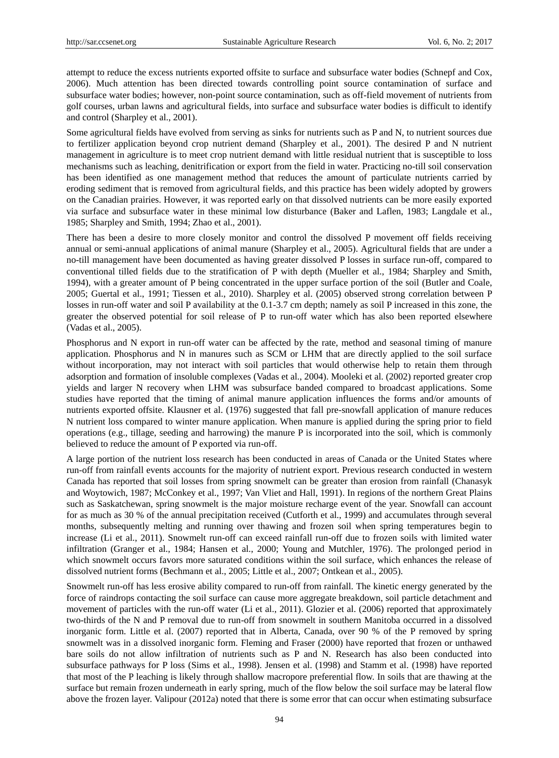attempt to reduce the excess nutrients exported offsite to surface and subsurface water bodies (Schnepf and Cox, 2006). Much attention has been directed towards controlling point source contamination of surface and subsurface water bodies; however, non-point source contamination, such as off-field movement of nutrients from golf courses, urban lawns and agricultural fields, into surface and subsurface water bodies is difficult to identify and control (Sharpley et al., 2001).

Some agricultural fields have evolved from serving as sinks for nutrients such as P and N, to nutrient sources due to fertilizer application beyond crop nutrient demand (Sharpley et al., 2001). The desired P and N nutrient management in agriculture is to meet crop nutrient demand with little residual nutrient that is susceptible to loss mechanisms such as leaching, denitrification or export from the field in water. Practicing no-till soil conservation has been identified as one management method that reduces the amount of particulate nutrients carried by eroding sediment that is removed from agricultural fields, and this practice has been widely adopted by growers on the Canadian prairies. However, it was reported early on that dissolved nutrients can be more easily exported via surface and subsurface water in these minimal low disturbance (Baker and Laflen, 1983; Langdale et al., 1985; Sharpley and Smith, 1994; Zhao et al., 2001).

There has been a desire to more closely monitor and control the dissolved P movement off fields receiving annual or semi-annual applications of animal manure (Sharpley et al., 2005). Agricultural fields that are under a no-till management have been documented as having greater dissolved P losses in surface run-off, compared to conventional tilled fields due to the stratification of P with depth (Mueller et al., 1984; Sharpley and Smith, 1994), with a greater amount of P being concentrated in the upper surface portion of the soil (Butler and Coale, 2005; Guertal et al., 1991; Tiessen et al., 2010). Sharpley et al. (2005) observed strong correlation between P losses in run-off water and soil P availability at the 0.1-3.7 cm depth; namely as soil P increased in this zone, the greater the observed potential for soil release of P to run-off water which has also been reported elsewhere (Vadas et al., 2005).

Phosphorus and N export in run-off water can be affected by the rate, method and seasonal timing of manure application. Phosphorus and N in manures such as SCM or LHM that are directly applied to the soil surface without incorporation, may not interact with soil particles that would otherwise help to retain them through adsorption and formation of insoluble complexes (Vadas et al., 2004). Mooleki et al. (2002) reported greater crop yields and larger N recovery when LHM was subsurface banded compared to broadcast applications. Some studies have reported that the timing of animal manure application influences the forms and/or amounts of nutrients exported offsite. Klausner et al. (1976) suggested that fall pre-snowfall application of manure reduces N nutrient loss compared to winter manure application. When manure is applied during the spring prior to field operations (e.g., tillage, seeding and harrowing) the manure P is incorporated into the soil, which is commonly believed to reduce the amount of P exported via run-off.

A large portion of the nutrient loss research has been conducted in areas of Canada or the United States where run-off from rainfall events accounts for the majority of nutrient export. Previous research conducted in western Canada has reported that soil losses from spring snowmelt can be greater than erosion from rainfall (Chanasyk and Woytowich, 1987; McConkey et al., 1997; Van Vliet and Hall, 1991). In regions of the northern Great Plains such as Saskatchewan, spring snowmelt is the major moisture recharge event of the year. Snowfall can account for as much as 30 % of the annual precipitation received (Cutforth et al., 1999) and accumulates through several months, subsequently melting and running over thawing and frozen soil when spring temperatures begin to increase (Li et al., 2011). Snowmelt run-off can exceed rainfall run-off due to frozen soils with limited water infiltration (Granger et al., 1984; Hansen et al., 2000; Young and Mutchler, 1976). The prolonged period in which snowmelt occurs favors more saturated conditions within the soil surface, which enhances the release of dissolved nutrient forms (Bechmann et al., 2005; Little et al., 2007; Ontkean et al., 2005).

Snowmelt run-off has less erosive ability compared to run-off from rainfall. The kinetic energy generated by the force of raindrops contacting the soil surface can cause more aggregate breakdown, soil particle detachment and movement of particles with the run-off water (Li et al., 2011). Glozier et al. (2006) reported that approximately two-thirds of the N and P removal due to run-off from snowmelt in southern Manitoba occurred in a dissolved inorganic form. Little et al. (2007) reported that in Alberta, Canada, over 90 % of the P removed by spring snowmelt was in a dissolved inorganic form. Fleming and Fraser (2000) have reported that frozen or unthawed bare soils do not allow infiltration of nutrients such as P and N. Research has also been conducted into subsurface pathways for P loss (Sims et al., 1998). Jensen et al. (1998) and Stamm et al. (1998) have reported that most of the P leaching is likely through shallow macropore preferential flow. In soils that are thawing at the surface but remain frozen underneath in early spring, much of the flow below the soil surface may be lateral flow above the frozen layer. Valipour (2012a) noted that there is some error that can occur when estimating subsurface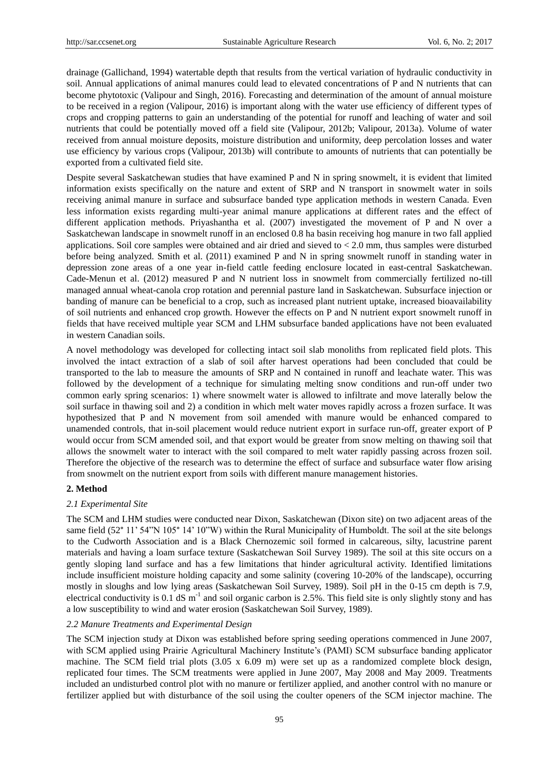drainage (Gallichand, 1994) watertable depth that results from the vertical variation of hydraulic conductivity in soil. Annual applications of animal manures could lead to elevated concentrations of P and N nutrients that can become phytotoxic (Valipour and Singh, 2016). Forecasting and determination of the amount of annual moisture to be received in a region (Valipour, 2016) is important along with the water use efficiency of different types of crops and cropping patterns to gain an understanding of the potential for runoff and leaching of water and soil nutrients that could be potentially moved off a field site (Valipour, 2012b; Valipour, 2013a). Volume of water received from annual moisture deposits, moisture distribution and uniformity, deep percolation losses and water use efficiency by various crops (Valipour, 2013b) will contribute to amounts of nutrients that can potentially be exported from a cultivated field site.

Despite several Saskatchewan studies that have examined P and N in spring snowmelt, it is evident that limited information exists specifically on the nature and extent of SRP and N transport in snowmelt water in soils receiving animal manure in surface and subsurface banded type application methods in western Canada. Even less information exists regarding multi-year animal manure applications at different rates and the effect of different application methods. Priyashantha et al. (2007) investigated the movement of P and N over a Saskatchewan landscape in snowmelt runoff in an enclosed 0.8 ha basin receiving hog manure in two fall applied applications. Soil core samples were obtained and air dried and sieved to < 2.0 mm, thus samples were disturbed before being analyzed. Smith et al. (2011) examined P and N in spring snowmelt runoff in standing water in depression zone areas of a one year in-field cattle feeding enclosure located in east-central Saskatchewan. Cade-Menun et al. (2012) measured P and N nutrient loss in snowmelt from commercially fertilized no-till managed annual wheat-canola crop rotation and perennial pasture land in Saskatchewan. Subsurface injection or banding of manure can be beneficial to a crop, such as increased plant nutrient uptake, increased bioavailability of soil nutrients and enhanced crop growth. However the effects on P and N nutrient export snowmelt runoff in fields that have received multiple year SCM and LHM subsurface banded applications have not been evaluated in western Canadian soils.

A novel methodology was developed for collecting intact soil slab monoliths from replicated field plots. This involved the intact extraction of a slab of soil after harvest operations had been concluded that could be transported to the lab to measure the amounts of SRP and N contained in runoff and leachate water. This was followed by the development of a technique for simulating melting snow conditions and run-off under two common early spring scenarios: 1) where snowmelt water is allowed to infiltrate and move laterally below the soil surface in thawing soil and 2) a condition in which melt water moves rapidly across a frozen surface. It was hypothesized that P and N movement from soil amended with manure would be enhanced compared to unamended controls, that in-soil placement would reduce nutrient export in surface run-off, greater export of P would occur from SCM amended soil, and that export would be greater from snow melting on thawing soil that allows the snowmelt water to interact with the soil compared to melt water rapidly passing across frozen soil. Therefore the objective of the research was to determine the effect of surface and subsurface water flow arising from snowmelt on the nutrient export from soils with different manure management histories.

## **2. Method**

#### *2.1 Experimental Site*

The SCM and LHM studies were conducted near Dixon, Saskatchewan (Dixon site) on two adjacent areas of the same field (52°11' 54"N 105°14' 10"W) within the Rural Municipality of Humboldt. The soil at the site belongs to the Cudworth Association and is a Black Chernozemic soil formed in calcareous, silty, lacustrine parent materials and having a loam surface texture (Saskatchewan Soil Survey 1989). The soil at this site occurs on a gently sloping land surface and has a few limitations that hinder agricultural activity. Identified limitations include insufficient moisture holding capacity and some salinity (covering 10-20% of the landscape), occurring mostly in sloughs and low lying areas (Saskatchewan Soil Survey, 1989). Soil pH in the 0-15 cm depth is 7.9, electrical conductivity is 0.1 dS  $m^{-1}$  and soil organic carbon is 2.5%. This field site is only slightly stony and has a low susceptibility to wind and water erosion (Saskatchewan Soil Survey, 1989).

#### *2.2 Manure Treatments and Experimental Design*

The SCM injection study at Dixon was established before spring seeding operations commenced in June 2007, with SCM applied using Prairie Agricultural Machinery Institute's (PAMI) SCM subsurface banding applicator machine. The SCM field trial plots (3.05 x 6.09 m) were set up as a randomized complete block design, replicated four times. The SCM treatments were applied in June 2007, May 2008 and May 2009. Treatments included an undisturbed control plot with no manure or fertilizer applied, and another control with no manure or fertilizer applied but with disturbance of the soil using the coulter openers of the SCM injector machine. The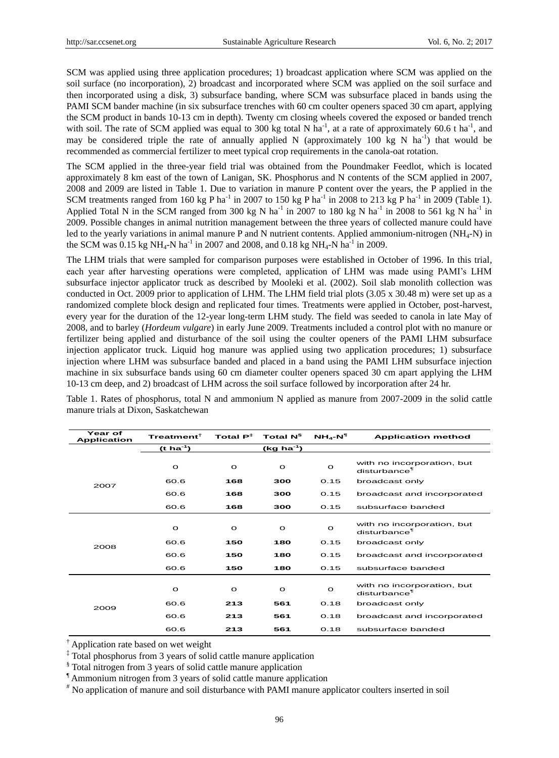SCM was applied using three application procedures; 1) broadcast application where SCM was applied on the soil surface (no incorporation), 2) broadcast and incorporated where SCM was applied on the soil surface and then incorporated using a disk, 3) subsurface banding, where SCM was subsurface placed in bands using the PAMI SCM bander machine (in six subsurface trenches with 60 cm coulter openers spaced 30 cm apart, applying the SCM product in bands 10-13 cm in depth). Twenty cm closing wheels covered the exposed or banded trench with soil. The rate of SCM applied was equal to 300 kg total N ha<sup>-1</sup>, at a rate of approximately 60.6 t ha<sup>-1</sup>, and may be considered triple the rate of annually applied N (approximately 100 kg N ha<sup>-1</sup>) that would be recommended as commercial fertilizer to meet typical crop requirements in the canola-oat rotation.

The SCM applied in the three-year field trial was obtained from the Poundmaker Feedlot, which is located approximately 8 km east of the town of Lanigan, SK. Phosphorus and N contents of the SCM applied in 2007, 2008 and 2009 are listed in Table 1. Due to variation in manure P content over the years, the P applied in the SCM treatments ranged from 160 kg P ha<sup>-1</sup> in 2007 to 150 kg P ha<sup>-1</sup> in 2008 to 213 kg P ha<sup>-1</sup> in 2009 (Table 1). Applied Total N in the SCM ranged from 300 kg N ha<sup>-1</sup> in 2007 to 180 kg N ha<sup>-1</sup> in 2008 to 561 kg N ha<sup>-1</sup> in 2009. Possible changes in animal nutrition management between the three years of collected manure could have led to the yearly variations in animal manure P and N nutrient contents. Applied ammonium-nitrogen (NH4-N) in the SCM was  $0.15 \text{ kg NH}_4\text{-N}$  ha<sup>-1</sup> in 2007 and 2008, and  $0.18 \text{ kg NH}_4\text{-N}$  ha<sup>-1</sup> in 2009.

The LHM trials that were sampled for comparison purposes were established in October of 1996. In this trial, each year after harvesting operations were completed, application of LHM was made using PAMI's LHM subsurface injector applicator truck as described by Mooleki et al. (2002). Soil slab monolith collection was conducted in Oct. 2009 prior to application of LHM. The LHM field trial plots (3.05 x 30.48 m) were set up as a randomized complete block design and replicated four times. Treatments were applied in October, post-harvest, every year for the duration of the 12-year long-term LHM study. The field was seeded to canola in late May of 2008, and to barley (*Hordeum vulgare*) in early June 2009. Treatments included a control plot with no manure or fertilizer being applied and disturbance of the soil using the coulter openers of the PAMI LHM subsurface injection applicator truck. Liquid hog manure was applied using two application procedures; 1) subsurface injection where LHM was subsurface banded and placed in a band using the PAMI LHM subsurface injection machine in six subsurface bands using 60 cm diameter coulter openers spaced 30 cm apart applying the LHM 10-13 cm deep, and 2) broadcast of LHM across the soil surface followed by incorporation after 24 hr.

| Year of<br><b>Application</b> | Treatment $^\dagger$  | Total $P^{\ddagger}$<br>Total N <sup>§</sup> |              | $NH_A-N^T$   | <b>Application method</b>                              |  |
|-------------------------------|-----------------------|----------------------------------------------|--------------|--------------|--------------------------------------------------------|--|
|                               | $(t \text{ ha}^{-1})$ |                                              | $(kg ha-1)$  |              |                                                        |  |
|                               | $\circ$               | $\circ$                                      | $\circ$      | $\mathbf{o}$ | with no incorporation, but<br>disturbance <sup>¶</sup> |  |
| 2007                          | 60.6                  | 168                                          | 300          | 0.15         | broadcast only                                         |  |
|                               | 60.6                  | 168                                          | 300          | 0.15         | broadcast and incorporated                             |  |
|                               | 60.6                  | 168                                          | 300          | 0.15         | subsurface banded                                      |  |
| 2008                          | $\circ$               | $\circ$                                      | $\mathbf{o}$ | $\circ$      | with no incorporation, but<br>disturbance <sup>¶</sup> |  |
|                               | 60.6                  | 150                                          | 180          | 0.15         | broadcast only                                         |  |
|                               | 60.6                  | 150                                          | 180          | 0.15         | broadcast and incorporated                             |  |
|                               | 60.6                  | 150                                          | 180          | 0.15         | subsurface banded                                      |  |
| 2009                          | $\circ$               | $\circ$                                      | $\circ$      | $\circ$      | with no incorporation, but<br>disturbance <sup>¶</sup> |  |
|                               | 60.6                  | 213                                          | 561          | 0.18         | broadcast only                                         |  |
|                               | 60.6                  | 213                                          | 561          | 0.18         | broadcast and incorporated                             |  |
|                               | 60.6                  | 213                                          | 561          | 0.18         | subsurface banded                                      |  |

Table 1. Rates of phosphorus, total N and ammonium N applied as manure from 2007-2009 in the solid cattle manure trials at Dixon, Saskatchewan

† Application rate based on wet weight

‡ Total phosphorus from 3 years of solid cattle manure application

§Total nitrogen from 3 years of solid cattle manure application

¶Ammonium nitrogen from 3 years of solid cattle manure application

# No application of manure and soil disturbance with PAMI manure applicator coulters inserted in soil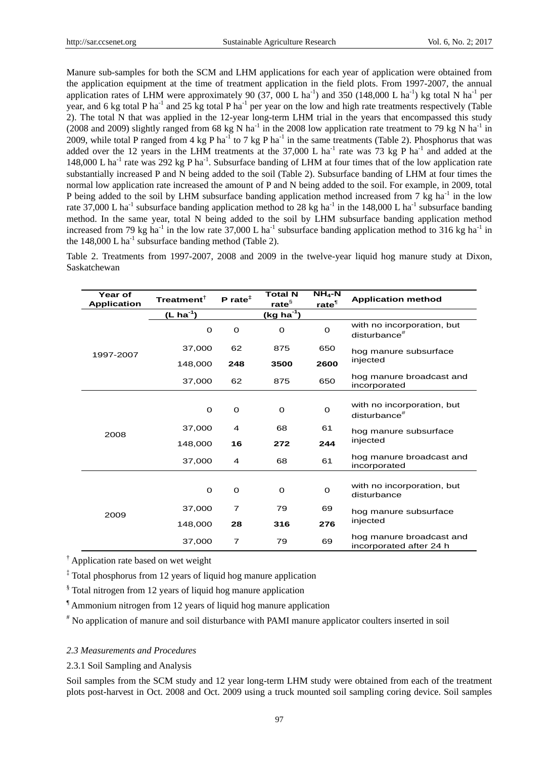Manure sub-samples for both the SCM and LHM applications for each year of application were obtained from the application equipment at the time of treatment application in the field plots. From 1997-2007, the annual application rates of LHM were approximately 90 (37, 000 L ha<sup>-1</sup>) and 350 (148,000 L ha<sup>-1</sup>) kg total N ha<sup>-1</sup> per year, and 6 kg total P ha<sup>-1</sup> and 25 kg total P ha<sup>-1</sup> per year on the low and high rate treatments respectively (Table 2). The total N that was applied in the 12-year long-term LHM trial in the years that encompassed this study (2008 and 2009) slightly ranged from 68 kg N ha<sup>-1</sup> in the 2008 low application rate treatment to 79 kg N ha<sup>-1</sup> in 2009, while total P ranged from 4 kg P ha<sup>-1</sup> to 7 kg P ha<sup>-1</sup> in the same treatments (Table 2). Phosphorus that was added over the 12 years in the LHM treatments at the  $37,000$  L ha<sup>-1</sup> rate was 73 kg P ha<sup>-1</sup> and added at the 148,000 L ha<sup>-1</sup> rate was 292 kg P ha<sup>-1</sup>. Subsurface banding of LHM at four times that of the low application rate substantially increased P and N being added to the soil (Table 2). Subsurface banding of LHM at four times the normal low application rate increased the amount of P and N being added to the soil. For example, in 2009, total P being added to the soil by LHM subsurface banding application method increased from 7 kg ha<sup>-1</sup> in the low rate 37,000 L ha<sup>-1</sup> subsurface banding application method to 28 kg ha<sup>-1</sup> in the 148,000 L ha<sup>-1</sup> subsurface banding method. In the same year, total N being added to the soil by LHM subsurface banding application method increased from 79 kg ha<sup>-1</sup> in the low rate 37,000 L ha<sup>-1</sup> subsurface banding application method to 316 kg ha<sup>-1</sup> in the  $148,000$  L ha<sup>-1</sup> subsurface banding method (Table 2).

Table 2. Treatments from 1997-2007, 2008 and 2009 in the twelve-year liquid hog manure study at Dixon, Saskatchewan

| Year of            | Treatment $^{\dagger}$ | $P$ rate <sup><math>\ddagger</math></sup> | <b>Total N</b>    | $NH_4$ -N         | <b>Application method</b>                              |  |
|--------------------|------------------------|-------------------------------------------|-------------------|-------------------|--------------------------------------------------------|--|
| <b>Application</b> |                        |                                           | rate <sup>§</sup> | rate <sup>T</sup> |                                                        |  |
|                    | (L ha <sup>-1</sup> )  |                                           | (kg ha $^{-1}$ )  |                   |                                                        |  |
|                    | 0                      | 0                                         | O                 | 0                 | with no incorporation, but<br>disturbance <sup>#</sup> |  |
| 1997-2007          | 37,000                 | 62                                        | 875               | 650               | hog manure subsurface                                  |  |
|                    | 148,000                | 248                                       | 3500              | 2600              | injected                                               |  |
|                    | 37,000                 | 62                                        | 875               | 650               | hog manure broadcast and<br>incorporated               |  |
|                    |                        |                                           |                   |                   |                                                        |  |
|                    | O                      | 0                                         | 0                 | 0                 | with no incorporation, but<br>disturbance <sup>#</sup> |  |
| 2008               | 37,000                 | 4                                         | 68                | 61                | hog manure subsurface                                  |  |
|                    | 148,000                | 16                                        | 272               | 244               | injected                                               |  |
|                    | 37,000                 | 4                                         | 68                | 61                | hog manure broadcast and<br>incorporated               |  |
|                    |                        |                                           |                   |                   |                                                        |  |
| 2009               | 0                      | 0                                         | 0                 | 0                 | with no incorporation, but<br>disturbance              |  |
|                    | 37,000                 | 7                                         | 79                | 69                | hog manure subsurface                                  |  |
|                    | 148,000                | 28                                        | 316               | 276               | injected                                               |  |
|                    | 37,000                 | $\overline{7}$                            | 79                | 69                | hog manure broadcast and<br>incorporated after 24 h    |  |

† Application rate based on wet weight

‡ Total phosphorus from 12 years of liquid hog manure application

§Total nitrogen from 12 years of liquid hog manure application

¶Ammonium nitrogen from 12 years of liquid hog manure application

# No application of manure and soil disturbance with PAMI manure applicator coulters inserted in soil

# *2.3 Measurements and Procedures*

2.3.1 Soil Sampling and Analysis

Soil samples from the SCM study and 12 year long-term LHM study were obtained from each of the treatment plots post-harvest in Oct. 2008 and Oct. 2009 using a truck mounted soil sampling coring device. Soil samples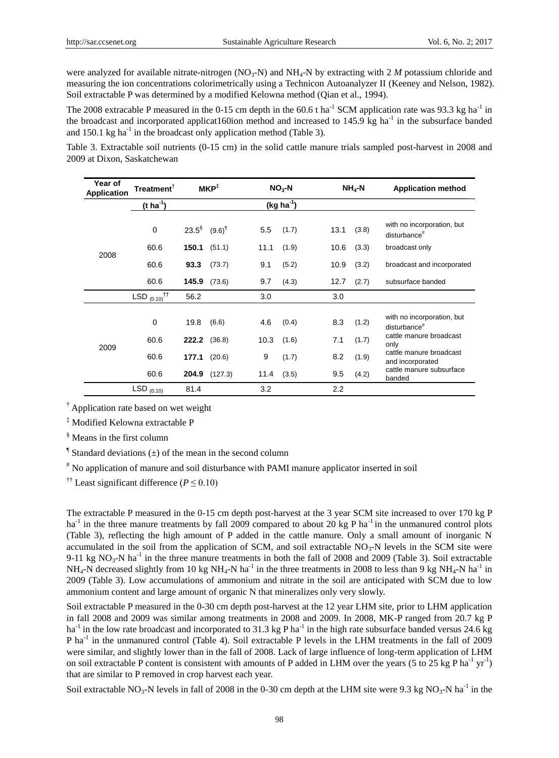were analyzed for available nitrate-nitrogen (NO<sub>3</sub>-N) and NH<sub>4</sub>-N by extracting with 2 *M* potassium chloride and measuring the ion concentrations colorimetrically using a Technicon Autoanalyzer II (Keeney and Nelson, 1982). Soil extractable P was determined by a modified Kelowna method (Qian et al., 1994).

The 2008 extracable P measured in the 0-15 cm depth in the 60.6 t ha<sup>-1</sup> SCM application rate was 93.3 kg ha<sup>-1</sup> in the broadcast and incorporated applicat160ion method and increased to 145.9 kg ha<sup>-1</sup> in the subsurface banded and 150.1 kg ha<sup>-1</sup> in the broadcast only application method (Table 3).

Table 3. Extractable soil nutrients (0-15 cm) in the solid cattle manure trials sampled post-harvest in 2008 and 2009 at Dixon, Saskatchewan

| Year of<br><b>Application</b> | $\mathsf{T}$ reatment ${}^{\mathsf{T}}$ | $MKP^{\ddagger}$               |               | $NO3-N$     |       |      | $NH4-N$ | <b>Application method</b>                              |
|-------------------------------|-----------------------------------------|--------------------------------|---------------|-------------|-------|------|---------|--------------------------------------------------------|
|                               | $(t \, ha^{-1})$                        |                                |               | $(kg ha-1)$ |       |      |         |                                                        |
|                               | 0                                       | $23.5^{\S}$ (9.6) <sup>1</sup> |               | 5.5         | (1.7) | 13.1 | (3.8)   | with no incorporation, but<br>disturbance <sup>#</sup> |
| 2008                          | 60.6                                    | 150.1                          | (51.1)        | 11.1        | (1.9) | 10.6 | (3.3)   | broadcast only                                         |
|                               | 60.6                                    | 93.3                           | (73.7)        | 9.1         | (5.2) | 10.9 | (3.2)   | broadcast and incorporated                             |
|                               | 60.6                                    | 145.9                          | (73.6)        | 9.7         | (4.3) | 12.7 | (2.7)   | subsurface banded                                      |
|                               | $^{\dagger\dagger}$<br>LSD $(0.10)$     | 56.2                           |               | 3.0         |       | 3.0  |         |                                                        |
|                               | 0                                       | 19.8                           | (6.6)         | 4.6         | (0.4) | 8.3  | (1.2)   | with no incorporation, but<br>disturbance <sup>#</sup> |
|                               | 60.6                                    | 222.2                          | (36.8)        | 10.3        | (1.6) | 7.1  | (1.7)   | cattle manure broadcast<br>only                        |
| 2009                          | 60.6                                    | 177.1                          | (20.6)        | 9           | (1.7) | 8.2  | (1.9)   | cattle manure broadcast<br>and incorporated            |
|                               | 60.6                                    |                                | 204.9 (127.3) | 11.4        | (3.5) | 9.5  | (4.2)   | cattle manure subsurface<br>banded                     |
|                               | $LSD_{(0.10)}$                          | 81.4                           |               | 3.2         |       | 2.2  |         |                                                        |

† Application rate based on wet weight

‡ Modified Kelowna extractable P

§Means in the first column

<sup> $\text{I}$ </sup>Standard deviations ( $\pm$ ) of the mean in the second column

# No application of manure and soil disturbance with PAMI manure applicator inserted in soil

†† Least significant difference (*P* ≤ 0.10)

The extractable P measured in the 0-15 cm depth post-harvest at the 3 year SCM site increased to over 170 kg P ha<sup>-1</sup> in the three manure treatments by fall 2009 compared to about 20 kg P ha<sup>-1</sup> in the unmanured control plots (Table 3), reflecting the high amount of P added in the cattle manure. Only a small amount of inorganic N accumulated in the soil from the application of SCM, and soil extractable  $NO<sub>3</sub>-N$  levels in the SCM site were 9-11 kg  $NO_3-N$  ha<sup>-1</sup> in the three manure treatments in both the fall of 2008 and 2009 (Table 3). Soil extractable  $NH_4$ -N decreased slightly from 10 kg NH<sub>4</sub>-N ha<sup>-1</sup> in the three treatments in 2008 to less than 9 kg NH<sub>4</sub>-N ha<sup>-1</sup> in 2009 (Table 3). Low accumulations of ammonium and nitrate in the soil are anticipated with SCM due to low ammonium content and large amount of organic N that mineralizes only very slowly.

Soil extractable P measured in the 0-30 cm depth post-harvest at the 12 year LHM site, prior to LHM application in fall 2008 and 2009 was similar among treatments in 2008 and 2009. In 2008, MK-P ranged from 20.7 kg P ha<sup>-1</sup> in the low rate broadcast and incorporated to 31.3 kg P ha<sup>-1</sup> in the high rate subsurface banded versus 24.6 kg P ha<sup>-1</sup> in the unmanured control (Table 4). Soil extractable P levels in the LHM treatments in the fall of 2009 were similar, and slightly lower than in the fall of 2008. Lack of large influence of long-term application of LHM on soil extractable P content is consistent with amounts of P added in LHM over the years (5 to 25 kg P ha<sup>-1</sup> yr<sup>-1</sup>) that are similar to P removed in crop harvest each year.

Soil extractable NO<sub>3</sub>-N levels in fall of 2008 in the 0-30 cm depth at the LHM site were 9.3 kg NO<sub>3</sub>-N ha<sup>-1</sup> in the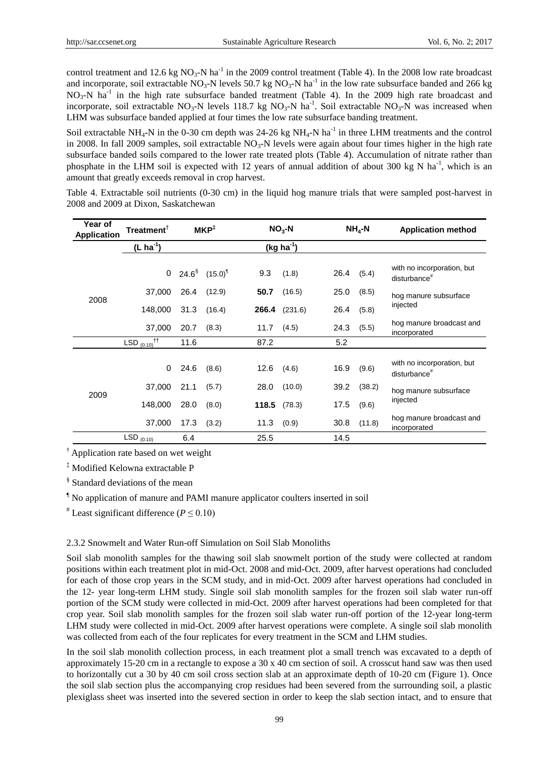control treatment and 12.6 kg  $NO_3-N$  ha<sup>-1</sup> in the 2009 control treatment (Table 4). In the 2008 low rate broadcast and incorporate, soil extractable  $NO_3$ -N levels 50.7 kg  $NO_3$ -N ha<sup>-1</sup> in the low rate subsurface banded and 266 kg  $NO<sub>3</sub>-N$  ha<sup>-1</sup> in the high rate subsurface banded treatment (Table 4). In the 2009 high rate broadcast and incorporate, soil extractable  $NO_3$ -N levels 118.7 kg  $NO_3$ -N ha<sup>-1</sup>. Soil extractable  $NO_3$ -N was increased when LHM was subsurface banded applied at four times the low rate subsurface banding treatment.

Soil extractable NH<sub>4</sub>-N in the 0-30 cm depth was 24-26 kg NH<sub>4</sub>-N ha<sup>-1</sup> in three LHM treatments and the control in 2008. In fall 2009 samples, soil extractable  $NO<sub>3</sub>-N$  levels were again about four times higher in the high rate subsurface banded soils compared to the lower rate treated plots (Table 4). Accumulation of nitrate rather than phosphate in the LHM soil is expected with 12 years of annual addition of about 300 kg N ha<sup>-1</sup>, which is an amount that greatly exceeds removal in crop harvest.

| Year of<br>Treatment $^{\dagger}$<br><b>Application</b> |                                                                                                                                                                                                          | MKP <sup>‡</sup> |              |       | $NO3-N$        |      | $NH4-N$ | <b>Application method</b>                                                                                                                                                                                                                                                                                                                                                                                                                                                                                                                                                                                                                                                                                                                                                                                        |
|---------------------------------------------------------|----------------------------------------------------------------------------------------------------------------------------------------------------------------------------------------------------------|------------------|--------------|-------|----------------|------|---------|------------------------------------------------------------------------------------------------------------------------------------------------------------------------------------------------------------------------------------------------------------------------------------------------------------------------------------------------------------------------------------------------------------------------------------------------------------------------------------------------------------------------------------------------------------------------------------------------------------------------------------------------------------------------------------------------------------------------------------------------------------------------------------------------------------------|
|                                                         | $(L ha^{-1})$                                                                                                                                                                                            |                  |              |       | $(kg ha^{-1})$ |      |         |                                                                                                                                                                                                                                                                                                                                                                                                                                                                                                                                                                                                                                                                                                                                                                                                                  |
| 2008                                                    | 0                                                                                                                                                                                                        | $24.6^{\$}$      | $(15.0)^{1}$ | 9.3   | (1.8)          | 26.4 | (5.4)   | with no incorporation, but<br>disturbance <sup>#</sup>                                                                                                                                                                                                                                                                                                                                                                                                                                                                                                                                                                                                                                                                                                                                                           |
|                                                         | 37,000                                                                                                                                                                                                   | 26.4             | (12.9)       | 50.7  | (16.5)         | 25.0 | (8.5)   | hog manure subsurface                                                                                                                                                                                                                                                                                                                                                                                                                                                                                                                                                                                                                                                                                                                                                                                            |
|                                                         | 148,000                                                                                                                                                                                                  | 31.3             | (16.4)       | 266.4 | (231.6)        | 26.4 | (5.8)   | injected                                                                                                                                                                                                                                                                                                                                                                                                                                                                                                                                                                                                                                                                                                                                                                                                         |
|                                                         | 37,000                                                                                                                                                                                                   | 20.7             | (8.3)        | 11.7  | (4.5)          | 24.3 | (5.5)   | hog manure broadcast and<br>incorporated                                                                                                                                                                                                                                                                                                                                                                                                                                                                                                                                                                                                                                                                                                                                                                         |
|                                                         | LSD $_{(0.10)}$ <sup>††</sup>                                                                                                                                                                            | 11.6             |              | 87.2  |                | 5.2  |         |                                                                                                                                                                                                                                                                                                                                                                                                                                                                                                                                                                                                                                                                                                                                                                                                                  |
|                                                         | 0                                                                                                                                                                                                        | 24.6             | (8.6)        | 12.6  | (4.6)          | 16.9 | (9.6)   | with no incorporation, but<br>disturbance <sup>#</sup>                                                                                                                                                                                                                                                                                                                                                                                                                                                                                                                                                                                                                                                                                                                                                           |
| 2009                                                    | 37,000                                                                                                                                                                                                   | 21.1             | (5.7)        | 28.0  | (10.0)         | 39.2 | (38.2)  | hog manure subsurface                                                                                                                                                                                                                                                                                                                                                                                                                                                                                                                                                                                                                                                                                                                                                                                            |
|                                                         | 148,000                                                                                                                                                                                                  | 28.0             | (8.0)        | 118.5 | (78.3)         | 17.5 | (9.6)   | injected                                                                                                                                                                                                                                                                                                                                                                                                                                                                                                                                                                                                                                                                                                                                                                                                         |
|                                                         | 37,000                                                                                                                                                                                                   | 17.3             | (3.2)        | 11.3  | (0.9)          | 30.8 | (11.8)  | hog manure broadcast and<br>incorporated                                                                                                                                                                                                                                                                                                                                                                                                                                                                                                                                                                                                                                                                                                                                                                         |
|                                                         | $LSD_{(0.10)}$                                                                                                                                                                                           | 6.4              |              | 25.5  |                | 14.5 |         |                                                                                                                                                                                                                                                                                                                                                                                                                                                                                                                                                                                                                                                                                                                                                                                                                  |
|                                                         | <sup>§</sup> Standard deviations of the mean<br><sup>1</sup> No application of manure and PAMI manure applicator coulters inserted in soil<br><sup>#</sup> Least significant difference ( $P \le 0.10$ ) |                  |              |       |                |      |         |                                                                                                                                                                                                                                                                                                                                                                                                                                                                                                                                                                                                                                                                                                                                                                                                                  |
|                                                         | 2.3.2 Snowmelt and Water Run-off Simulation on Soil Slab Monoliths                                                                                                                                       |                  |              |       |                |      |         |                                                                                                                                                                                                                                                                                                                                                                                                                                                                                                                                                                                                                                                                                                                                                                                                                  |
|                                                         | was collected from each of the four replicates for every treatment in the SCM and LHM studies.                                                                                                           |                  |              |       |                |      |         | Soil slab monolith samples for the thawing soil slab snowmelt portion of the study were collected at random<br>positions within each treatment plot in mid-Oct. 2008 and mid-Oct. 2009, after harvest operations had concluded<br>for each of those crop years in the SCM study, and in mid-Oct. 2009 after harvest operations had concluded in<br>the 12- year long-term LHM study. Single soil slab monolith samples for the frozen soil slab water run-off<br>portion of the SCM study were collected in mid-Oct. 2009 after harvest operations had been completed for that<br>crop year. Soil slab monolith samples for the frozen soil slab water run-off portion of the 12-year long-term<br>LHM study were collected in mid-Oct. 2009 after harvest operations were complete. A single soil slab monolith |
|                                                         |                                                                                                                                                                                                          |                  |              |       |                |      |         | In the soil slab monolith collection process, in each treatment plot a small trench was excavated to a depth of<br>approximately 15-20 cm in a rectangle to expose a 30 x 40 cm section of soil. A crosscut hand saw was then used<br>to horizontally cut a 30 by 40 cm soil cross section slab at an approximate depth of 10-20 cm (Figure 1). Once<br>the soil slab section plus the accompanying crop residues had been severed from the surrounding soil, a plastic<br>plexiglass sheet was inserted into the severed section in order to keep the slab section intact, and to ensure that                                                                                                                                                                                                                   |

Table 4. Extractable soil nutrients (0-30 cm) in the liquid hog manure trials that were sampled post-harvest in 2008 and 2009 at Dixon, Saskatchewan

#### 2.3.2 Snowmelt and Water Run-off Simulation on Soil Slab Monoliths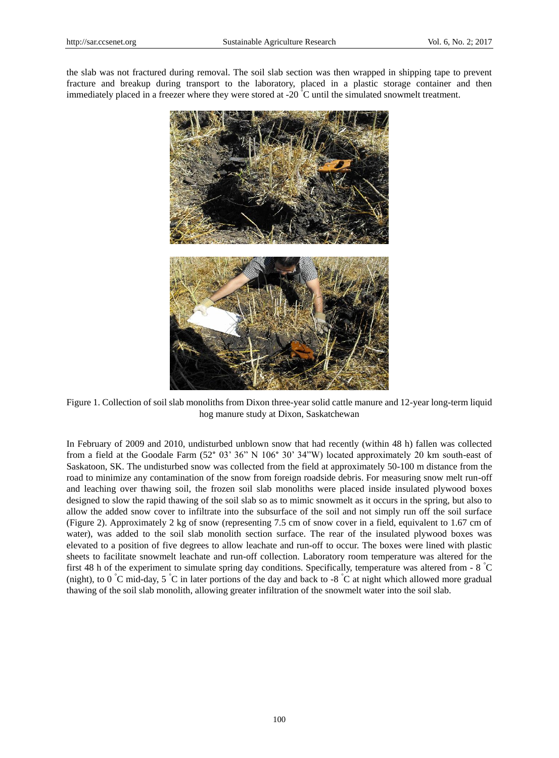the slab was not fractured during removal. The soil slab section was then wrapped in shipping tape to prevent fracture and breakup during transport to the laboratory, placed in a plastic storage container and then immediately placed in a freezer where they were stored at -20  $\degree$ C until the simulated snowmelt treatment.



Figure 1. Collection of soil slab monoliths from Dixon three-year solid cattle manure and 12-year long-term liquid hog manure study at Dixon, Saskatchewan

In February of 2009 and 2010, undisturbed unblown snow that had recently (within 48 h) fallen was collected from a field at the Goodale Farm (52° 03' 36" N 106° 30' 34"W) located approximately 20 km south-east of Saskatoon, SK. The undisturbed snow was collected from the field at approximately 50-100 m distance from the road to minimize any contamination of the snow from foreign roadside debris. For measuring snow melt run-off and leaching over thawing soil, the frozen soil slab monoliths were placed inside insulated plywood boxes designed to slow the rapid thawing of the soil slab so as to mimic snowmelt as it occurs in the spring, but also to allow the added snow cover to infiltrate into the subsurface of the soil and not simply run off the soil surface (Figure 2). Approximately 2 kg of snow (representing 7.5 cm of snow cover in a field, equivalent to 1.67 cm of water), was added to the soil slab monolith section surface. The rear of the insulated plywood boxes was elevated to a position of five degrees to allow leachate and run-off to occur. The boxes were lined with plastic sheets to facilitate snowmelt leachate and run-off collection. Laboratory room temperature was altered for the first 48 h of the experiment to simulate spring day conditions. Specifically, temperature was altered from - 8 °C (night), to 0  $\degree$ C mid-day, 5  $\degree$ C in later portions of the day and back to -8  $\degree$ C at night which allowed more gradual thawing of the soil slab monolith, allowing greater infiltration of the snowmelt water into the soil slab.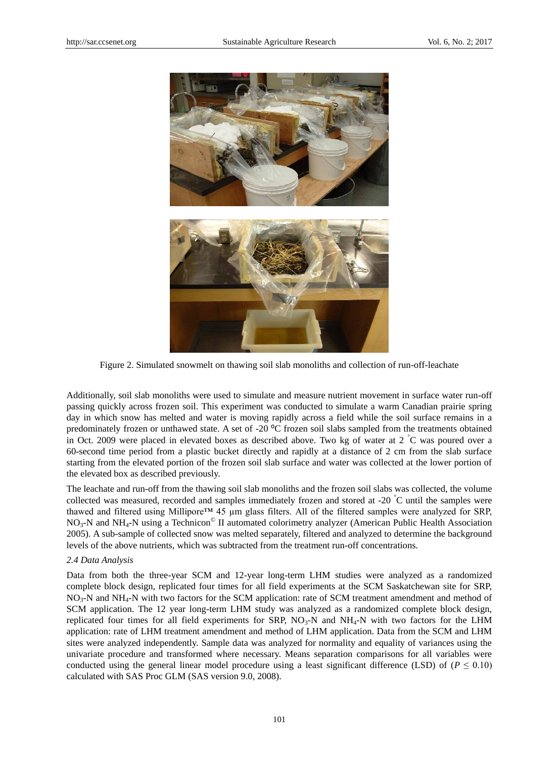

Figure 2. Simulated snowmelt on thawing soil slab monoliths and collection of run-off-leachate

Additionally, soil slab monoliths were used to simulate and measure nutrient movement in surface water run-off passing quickly across frozen soil. This experiment was conducted to simulate a warm Canadian prairie spring day in which snow has melted and water is moving rapidly across a field while the soil surface remains in a predominately frozen or unthawed state. A set of -20 °C frozen soil slabs sampled from the treatments obtained in Oct. 2009 were placed in elevated boxes as described above. Two kg of water at 2 °C was poured over a 60-second time period from a plastic bucket directly and rapidly at a distance of 2 cm from the slab surface starting from the elevated portion of the frozen soil slab surface and water was collected at the lower portion of the elevated box as described previously.

The leachate and run-off from the thawing soil slab monoliths and the frozen soil slabs was collected, the volume collected was measured, recorded and samples immediately frozen and stored at -20 °C until the samples were thawed and filtered using Millipore™ 45 µm glass filters. All of the filtered samples were analyzed for SRP,  $NO<sub>3</sub>-N$  and NH<sub>4</sub>-N using a Technicon<sup>©</sup> II automated colorimetry analyzer (American Public Health Association 2005). A sub-sample of collected snow was melted separately, filtered and analyzed to determine the background levels of the above nutrients, which was subtracted from the treatment run-off concentrations.

#### *2.4 Data Analysis*

Data from both the three-year SCM and 12-year long-term LHM studies were analyzed as a randomized complete block design, replicated four times for all field experiments at the SCM Saskatchewan site for SRP, NO<sub>3</sub>-N and NH<sub>4</sub>-N with two factors for the SCM application: rate of SCM treatment amendment and method of SCM application. The 12 year long-term LHM study was analyzed as a randomized complete block design, replicated four times for all field experiments for SRP,  $NO<sub>3</sub>-N$  and  $NH<sub>4</sub>-N$  with two factors for the LHM application: rate of LHM treatment amendment and method of LHM application. Data from the SCM and LHM sites were analyzed independently. Sample data was analyzed for normality and equality of variances using the univariate procedure and transformed where necessary. Means separation comparisons for all variables were conducted using the general linear model procedure using a least significant difference (LSD) of ( $P \le 0.10$ ) calculated with SAS Proc GLM (SAS version 9.0, 2008).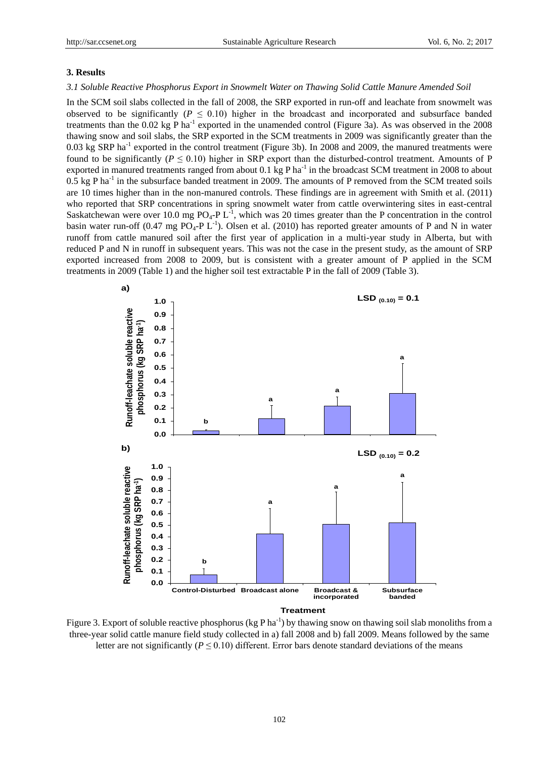## **3. Results**

## *3.1 Soluble Reactive Phosphorus Export in Snowmelt Water on Thawing Solid Cattle Manure Amended Soil*

In the SCM soil slabs collected in the fall of 2008, the SRP exported in run-off and leachate from snowmelt was observed to be significantly ( $P \le 0.10$ ) higher in the broadcast and incorporated and subsurface banded treatments than the  $0.02$  kg P ha<sup>-1</sup> exported in the unamended control (Figure 3a). As was observed in the  $2008$ thawing snow and soil slabs, the SRP exported in the SCM treatments in 2009 was significantly greater than the 0.03 kg SRP ha<sup>-1</sup> exported in the control treatment (Figure 3b). In 2008 and 2009, the manured treatments were found to be significantly ( $P \le 0.10$ ) higher in SRP export than the disturbed-control treatment. Amounts of P exported in manured treatments ranged from about  $0.1 \text{ kg P ha}^{-1}$  in the broadcast SCM treatment in 2008 to about 0.5 kg P ha<sup>-1</sup> in the subsurface banded treatment in 2009. The amounts of P removed from the SCM treated soils are 10 times higher than in the non-manured controls. These findings are in agreement with Smith et al. (2011) who reported that SRP concentrations in spring snowmelt water from cattle overwintering sites in east-central Saskatchewan were over 10.0 mg  $PO_4$ -P L<sup>-1</sup>, which was 20 times greater than the P concentration in the control basin water run-off  $(0.47 \text{ mg } PO_4\text{-}P L^{-1})$ . Olsen et al. (2010) has reported greater amounts of P and N in water runoff from cattle manured soil after the first year of application in a multi-year study in Alberta, but with reduced P and N in runoff in subsequent years. This was not the case in the present study, as the amount of SRP exported increased from 2008 to 2009, but is consistent with a greater amount of P applied in the SCM treatments in 2009 (Table 1) and the higher soil test extractable P in the fall of 2009 (Table 3).



**Treatment**

Figure 3. Export of soluble reactive phosphorus (kg P ha<sup>-1</sup>) by thawing snow on thawing soil slab monoliths from a three-year solid cattle manure field study collected in a) fall 2008 and b) fall 2009. Means followed by the same letter are not significantly ( $P \le 0.10$ ) different. Error bars denote standard deviations of the means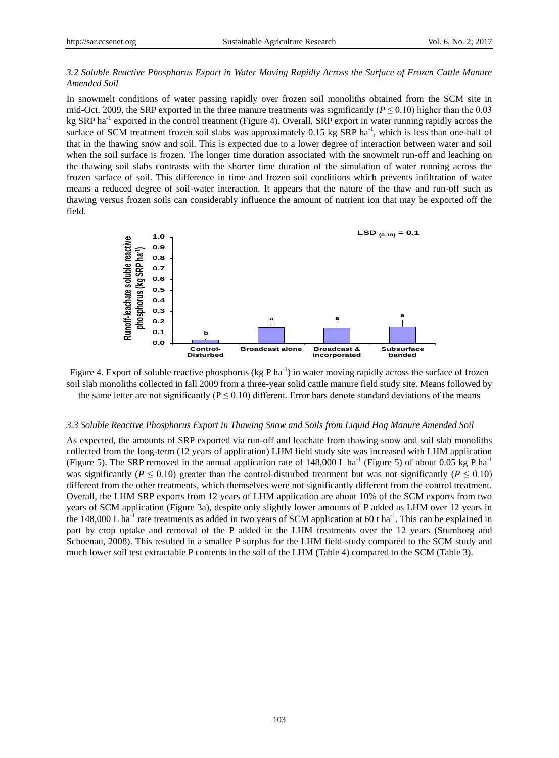## *3.2 Soluble Reactive Phosphorus Export in Water Moving Rapidly Across the Surface of Frozen Cattle Manure Amended Soil*

In snowmelt conditions of water passing rapidly over frozen soil monoliths obtained from the SCM site in mid-Oct. 2009, the SRP exported in the three manure treatments was significantly ( $P \le 0.10$ ) higher than the 0.03 kg SRP ha<sup>-1</sup> exported in the control treatment (Figure 4). Overall, SRP export in water running rapidly across the surface of SCM treatment frozen soil slabs was approximately  $0.15$  kg SRP ha<sup>-1</sup>, which is less than one-half of that in the thawing snow and soil. This is expected due to a lower degree of interaction between water and soil when the soil surface is frozen. The longer time duration associated with the snowmelt run-off and leaching on the thawing soil slabs contrasts with the shorter time duration of the simulation of water running across the frozen surface of soil. This difference in time and frozen soil conditions which prevents infiltration of water means a reduced degree of soil-water interaction. It appears that the nature of the thaw and run-off such as thawing versus frozen soils can considerably influence the amount of nutrient ion that may be exported off the field.



Figure 4. Export of soluble reactive phosphorus (kg P ha<sup>-1</sup>) in water moving rapidly across the surface of frozen soil slab monoliths collected in fall 2009 from a three-year solid cattle manure field study site. Means followed by the same letter are not significantly ( $P \le 0.10$ ) different. Error bars denote standard deviations of the means

#### *3.3 Soluble Reactive Phosphorus Export in Thawing Snow and Soils from Liquid Hog Manure Amended Soil*

As expected, the amounts of SRP exported via run-off and leachate from thawing snow and soil slab monoliths collected from the long-term (12 years of application) LHM field study site was increased with LHM application (Figure 5). The SRP removed in the annual application rate of 148,000 L ha<sup>-1</sup> (Figure 5) of about 0.05 kg P ha<sup>-1</sup> was significantly ( $P \le 0.10$ ) greater than the control-disturbed treatment but was not significantly ( $P \le 0.10$ ) different from the other treatments, which themselves were not significantly different from the control treatment. Overall, the LHM SRP exports from 12 years of LHM application are about 10% of the SCM exports from two years of SCM application (Figure 3a), despite only slightly lower amounts of P added as LHM over 12 years in the 148,000 L ha<sup>-1</sup> rate treatments as added in two years of SCM application at 60 t ha<sup>-1</sup>. This can be explained in part by crop uptake and removal of the P added in the LHM treatments over the 12 years (Stumborg and Schoenau, 2008). This resulted in a smaller P surplus for the LHM field-study compared to the SCM study and much lower soil test extractable P contents in the soil of the LHM (Table 4) compared to the SCM (Table 3).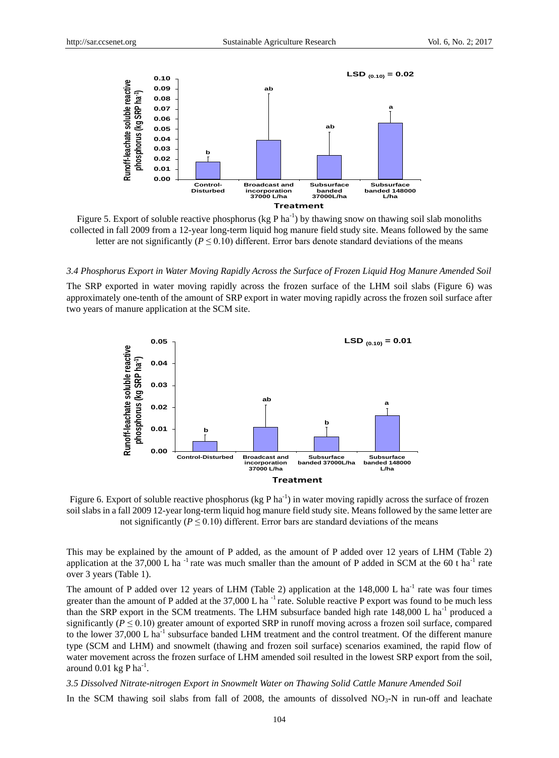

Figure 5. Export of soluble reactive phosphorus ( $kg Pha^{-1}$ ) by thawing snow on thawing soil slab monoliths collected in fall 2009 from a 12-year long-term liquid hog manure field study site. Means followed by the same letter are not significantly ( $P \le 0.10$ ) different. Error bars denote standard deviations of the means

#### *3.4 Phosphorus Export in Water Moving Rapidly Across the Surface of Frozen Liquid Hog Manure Amended Soil*

The SRP exported in water moving rapidly across the frozen surface of the LHM soil slabs (Figure 6) was approximately one-tenth of the amount of SRP export in water moving rapidly across the frozen soil surface after two years of manure application at the SCM site.



Figure 6. Export of soluble reactive phosphorus (kg P ha<sup>-1</sup>) in water moving rapidly across the surface of frozen soil slabs in a fall 2009 12-year long-term liquid hog manure field study site. Means followed by the same letter are not significantly ( $P \le 0.10$ ) different. Error bars are standard deviations of the means

This may be explained by the amount of P added, as the amount of P added over 12 years of LHM (Table 2) application at the 37,000 L ha<sup>-1</sup> rate was much smaller than the amount of P added in SCM at the 60 t ha<sup>-1</sup> rate over 3 years (Table 1).

The amount of P added over 12 years of LHM (Table 2) application at the  $148,000$  L ha<sup>-1</sup> rate was four times greater than the amount of P added at the  $37,000$  L ha<sup>-1</sup> rate. Soluble reactive P export was found to be much less than the SRP export in the SCM treatments. The LHM subsurface banded high rate  $148,000$  L ha<sup>-1</sup> produced a significantly ( $P \le 0.10$ ) greater amount of exported SRP in runoff moving across a frozen soil surface, compared to the lower  $37,000$  L ha<sup>-1</sup> subsurface banded LHM treatment and the control treatment. Of the different manure type (SCM and LHM) and snowmelt (thawing and frozen soil surface) scenarios examined, the rapid flow of water movement across the frozen surface of LHM amended soil resulted in the lowest SRP export from the soil, around  $0.01$  kg P ha<sup>-1</sup>.

#### *3.5 Dissolved Nitrate-nitrogen Export in Snowmelt Water on Thawing Solid Cattle Manure Amended Soil*

In the SCM thawing soil slabs from fall of 2008, the amounts of dissolved  $NO<sub>3</sub>-N$  in run-off and leachate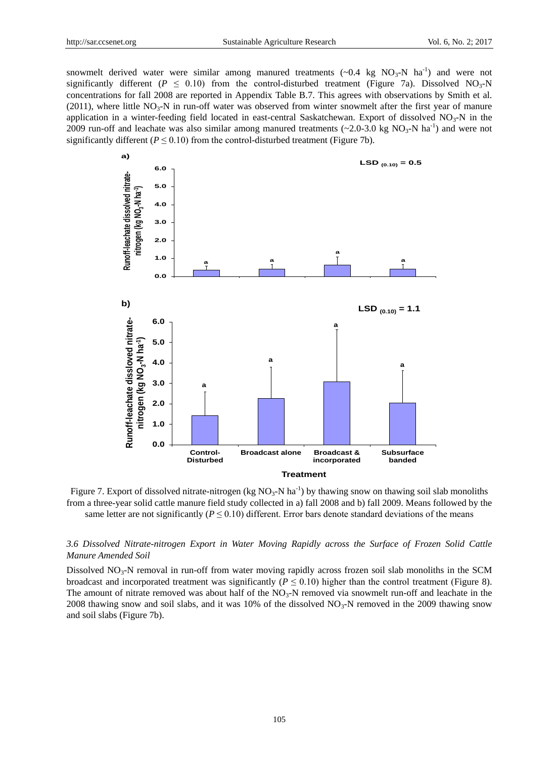snowmelt derived water were similar among manured treatments  $({\sim}0.4 \text{ kg NO}_3\text{-N ha}^{-1})$  and were not significantly different ( $P \le 0.10$ ) from the control-disturbed treatment (Figure 7a). Dissolved NO<sub>3</sub>-N concentrations for fall 2008 are reported in Appendix Table B.7. This agrees with observations by Smith et al. (2011), where little  $NO_3-N$  in run-off water was observed from winter snowmelt after the first year of manure application in a winter-feeding field located in east-central Saskatchewan. Export of dissolved  $NO<sub>3</sub>-N$  in the 2009 run-off and leachate was also similar among manured treatments  $(\sim 2.0$ -3.0 kg NO<sub>3</sub>-N ha<sup>-1</sup>) and were not significantly different  $(P \le 0.10)$  from the control-disturbed treatment (Figure 7b).



Figure 7. Export of dissolved nitrate-nitrogen (kg  $NO_3-N$  ha<sup>-1</sup>) by thawing snow on thawing soil slab monoliths from a three-year solid cattle manure field study collected in a) fall 2008 and b) fall 2009. Means followed by the same letter are not significantly ( $P \le 0.10$ ) different. Error bars denote standard deviations of the means

# *3.6 Dissolved Nitrate-nitrogen Export in Water Moving Rapidly across the Surface of Frozen Solid Cattle Manure Amended Soil*

Dissolved  $NO<sub>3</sub>-N$  removal in run-off from water moving rapidly across frozen soil slab monoliths in the SCM broadcast and incorporated treatment was significantly ( $P \le 0.10$ ) higher than the control treatment (Figure 8). The amount of nitrate removed was about half of the  $NO<sub>3</sub>-N$  removed via snowmelt run-off and leachate in the 2008 thawing snow and soil slabs, and it was 10% of the dissolved  $NO<sub>3</sub>-N$  removed in the 2009 thawing snow and soil slabs (Figure 7b).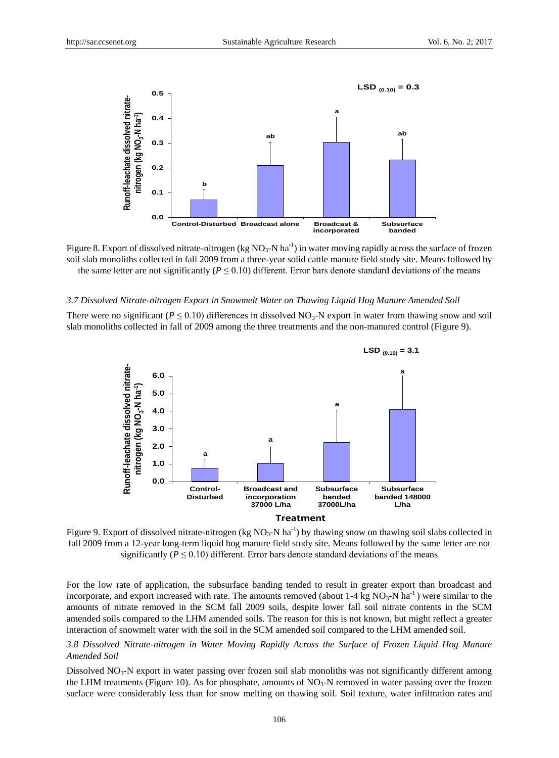

Figure 8. Export of dissolved nitrate-nitrogen (kg  $NO_3$ -N ha<sup>-1</sup>) in water moving rapidly across the surface of frozen soil slab monoliths collected in fall 2009 from a three-year solid cattle manure field study site. Means followed by the same letter are not significantly ( $P \le 0.10$ ) different. Error bars denote standard deviations of the means

#### *3.7 Dissolved Nitrate-nitrogen Export in Snowmelt Water on Thawing Liquid Hog Manure Amended Soil*

There were no significant ( $P \le 0.10$ ) differences in dissolved NO<sub>3</sub>-N export in water from thawing snow and soil slab monoliths collected in fall of 2009 among the three treatments and the non-manured control (Figure 9).



Figure 9. Export of dissolved nitrate-nitrogen (kg  $NO_3-N$  ha<sup>-1</sup>) by thawing snow on thawing soil slabs collected in fall 2009 from a 12-year long-term liquid hog manure field study site. Means followed by the same letter are not significantly ( $P \le 0.10$ ) different. Error bars denote standard deviations of the means

For the low rate of application, the subsurface banding tended to result in greater export than broadcast and incorporate, and export increased with rate. The amounts removed (about  $1-4$  kg  $NO_3-N$  ha<sup>-1</sup>) were similar to the amounts of nitrate removed in the SCM fall 2009 soils, despite lower fall soil nitrate contents in the SCM amended soils compared to the LHM amended soils. The reason for this is not known, but might reflect a greater interaction of snowmelt water with the soil in the SCM amended soil compared to the LHM amended soil.

## *3.8 Dissolved Nitrate-nitrogen in Water Moving Rapidly Across the Surface of Frozen Liquid Hog Manure Amended Soil*

Dissolved NO<sub>3</sub>-N export in water passing over frozen soil slab monoliths was not significantly different among the LHM treatments (Figure 10). As for phosphate, amounts of  $NO<sub>3</sub>-N$  removed in water passing over the frozen surface were considerably less than for snow melting on thawing soil. Soil texture, water infiltration rates and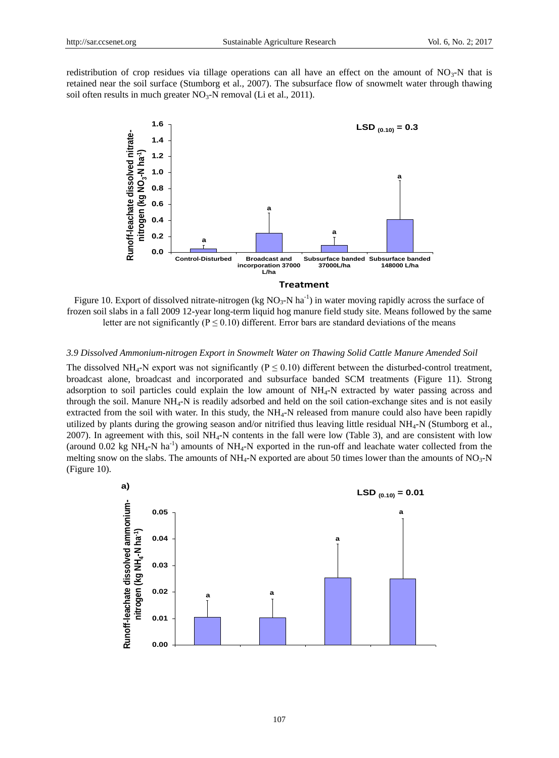redistribution of crop residues via tillage operations can all have an effect on the amount of  $NO_3$ -N that is retained near the soil surface (Stumborg et al., 2007). The subsurface flow of snowmelt water through thawing soil often results in much greater  $NO_3-N$  removal (Li et al., 2011).



Figure 10. Export of dissolved nitrate-nitrogen (kg  $NO_3-N$  ha<sup>-1</sup>) in water moving rapidly across the surface of frozen soil slabs in a fall 2009 12-year long-term liquid hog manure field study site. Means followed by the same letter are not significantly ( $P \le 0.10$ ) different. Error bars are standard deviations of the means

## *3.9 Dissolved Ammonium-nitrogen Export in Snowmelt Water on Thawing Solid Cattle Manure Amended Soil*

The dissolved NH<sub>4</sub>-N export was not significantly ( $P \le 0.10$ ) different between the disturbed-control treatment, broadcast alone, broadcast and incorporated and subsurface banded SCM treatments (Figure 11). Strong adsorption to soil particles could explain the low amount of NH4-N extracted by water passing across and through the soil. Manure  $NH<sub>4</sub>-N$  is readily adsorbed and held on the soil cation-exchange sites and is not easily extracted from the soil with water. In this study, the NH<sub>4</sub>-N released from manure could also have been rapidly utilized by plants during the growing season and/or nitrified thus leaving little residual NH4-N (Stumborg et al., 2007). In agreement with this, soil  $NH_4$ -N contents in the fall were low (Table 3), and are consistent with low (around 0.02 kg NH<sub>4</sub>-N ha<sup>-1</sup>) amounts of NH<sub>4</sub>-N exported in the run-off and leachate water collected from the melting snow on the slabs. The amounts of  $NH<sub>4</sub>-N$  exported are about 50 times lower than the amounts of NO<sub>3</sub>-N (Figure 10).

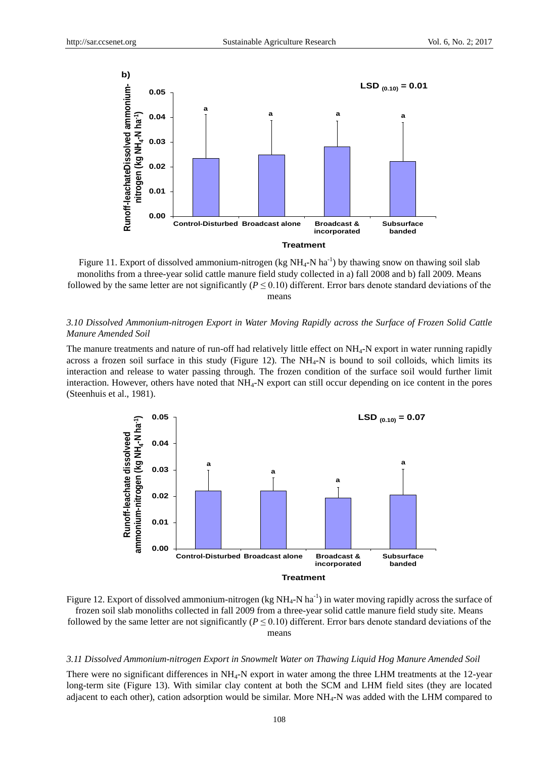

Figure 11. Export of dissolved ammonium-nitrogen (kg  $NH_4$ -N ha<sup>-1</sup>) by thawing snow on thawing soil slab monoliths from a three-year solid cattle manure field study collected in a) fall 2008 and b) fall 2009. Means followed by the same letter are not significantly ( $P \le 0.10$ ) different. Error bars denote standard deviations of the means

# *3.10 Dissolved Ammonium-nitrogen Export in Water Moving Rapidly across the Surface of Frozen Solid Cattle Manure Amended Soil*

The manure treatments and nature of run-off had relatively little effect on NH4-N export in water running rapidly across a frozen soil surface in this study (Figure 12). The  $NH_4$ -N is bound to soil colloids, which limits its interaction and release to water passing through. The frozen condition of the surface soil would further limit interaction. However, others have noted that NH4-N export can still occur depending on ice content in the pores (Steenhuis et al., 1981).



Figure 12. Export of dissolved ammonium-nitrogen (kg  $NH_4$ -N ha<sup>-1</sup>) in water moving rapidly across the surface of frozen soil slab monoliths collected in fall 2009 from a three-year solid cattle manure field study site. Means followed by the same letter are not significantly ( $P \le 0.10$ ) different. Error bars denote standard deviations of the means

#### *3.11 Dissolved Ammonium-nitrogen Export in Snowmelt Water on Thawing Liquid Hog Manure Amended Soil*

There were no significant differences in NH<sub>4</sub>-N export in water among the three LHM treatments at the 12-year long-term site (Figure 13). With similar clay content at both the SCM and LHM field sites (they are located adjacent to each other), cation adsorption would be similar. More NH4-N was added with the LHM compared to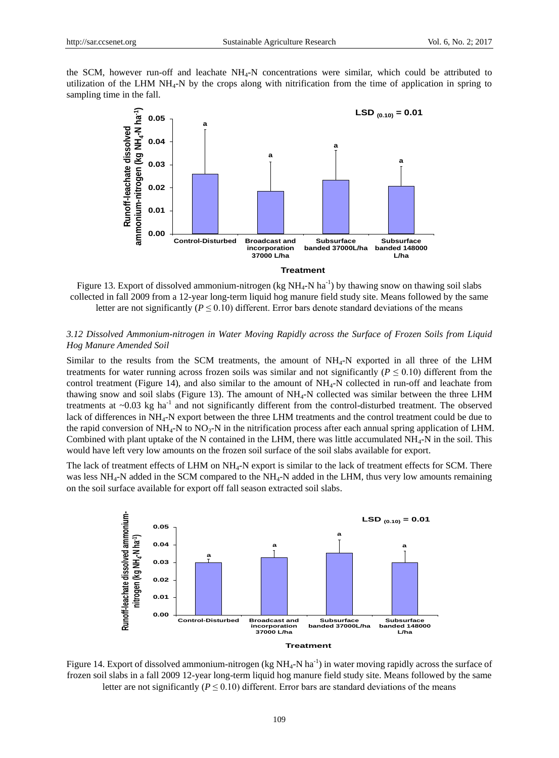the SCM, however run-off and leachate  $NH<sub>4</sub>-N$  concentrations were similar, which could be attributed to utilization of the LHM NH4-N by the crops along with nitrification from the time of application in spring to sampling time in the fall.



Figure 13. Export of dissolved ammonium-nitrogen (kg  $NH_4$ -N ha<sup>-1</sup>) by thawing snow on thawing soil slabs collected in fall 2009 from a 12-year long-term liquid hog manure field study site. Means followed by the same letter are not significantly ( $P \le 0.10$ ) different. Error bars denote standard deviations of the means

# *3.12 Dissolved Ammonium-nitrogen in Water Moving Rapidly across the Surface of Frozen Soils from Liquid Hog Manure Amended Soil*

Similar to the results from the SCM treatments, the amount of NH4-N exported in all three of the LHM treatments for water running across frozen soils was similar and not significantly ( $P \le 0.10$ ) different from the control treatment (Figure 14), and also similar to the amount of NH4-N collected in run-off and leachate from thawing snow and soil slabs (Figure 13). The amount of  $NH_4$ -N collected was similar between the three LHM treatments at  $\sim$ 0.03 kg ha<sup>-1</sup> and not significantly different from the control-disturbed treatment. The observed lack of differences in NH4-N export between the three LHM treatments and the control treatment could be due to the rapid conversion of  $NH_4$ -N to  $NO_3$ -N in the nitrification process after each annual spring application of LHM. Combined with plant uptake of the N contained in the LHM, there was little accumulated  $NH_4$ -N in the soil. This would have left very low amounts on the frozen soil surface of the soil slabs available for export.

The lack of treatment effects of LHM on NH<sub>4</sub>-N export is similar to the lack of treatment effects for SCM. There was less NH<sub>4</sub>-N added in the SCM compared to the NH<sub>4</sub>-N added in the LHM, thus very low amounts remaining on the soil surface available for export off fall season extracted soil slabs.



Figure 14. Export of dissolved ammonium-nitrogen (kg  $NH_4$ -N ha<sup>-1</sup>) in water moving rapidly across the surface of frozen soil slabs in a fall 2009 12-year long-term liquid hog manure field study site. Means followed by the same letter are not significantly ( $P \le 0.10$ ) different. Error bars are standard deviations of the means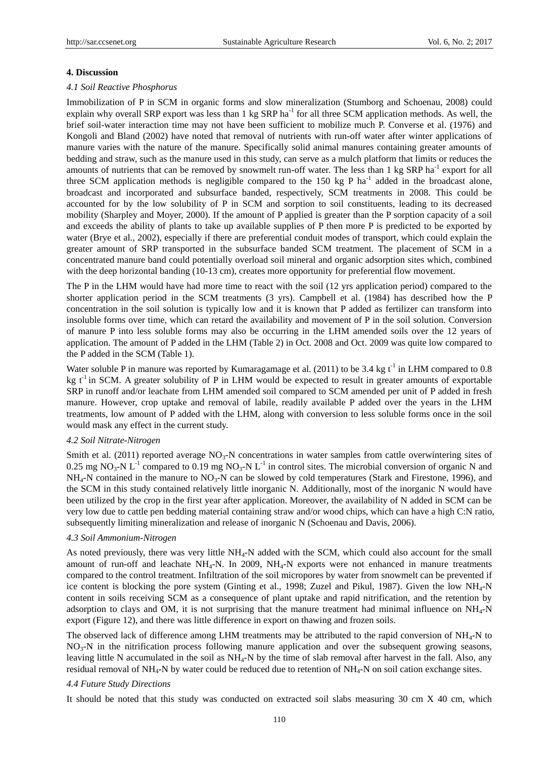#### **4. Discussion**

#### *4.1 Soil Reactive Phosphorus*

Immobilization of P in SCM in organic forms and slow mineralization (Stumborg and Schoenau, 2008) could explain why overall SRP export was less than 1 kg SRP ha<sup>-1</sup> for all three SCM application methods. As well, the brief soil-water interaction time may not have been sufficient to mobilize much P. Converse et al. (1976) and Kongoli and Bland (2002) have noted that removal of nutrients with run-off water after winter applications of manure varies with the nature of the manure. Specifically solid animal manures containing greater amounts of bedding and straw, such as the manure used in this study, can serve as a mulch platform that limits or reduces the amounts of nutrients that can be removed by snowmelt run-off water. The less than 1 kg SRP ha<sup>-1</sup> export for all three SCM application methods is negligible compared to the  $150 \text{ kg }$ P ha<sup>-1</sup> added in the broadcast alone, broadcast and incorporated and subsurface banded, respectively, SCM treatments in 2008. This could be accounted for by the low solubility of P in SCM and sorption to soil constituents, leading to its decreased mobility (Sharpley and Moyer, 2000). If the amount of P applied is greater than the P sorption capacity of a soil and exceeds the ability of plants to take up available supplies of P then more P is predicted to be exported by water (Brye et al., 2002), especially if there are preferential conduit modes of transport, which could explain the greater amount of SRP transported in the subsurface banded SCM treatment. The placement of SCM in a concentrated manure band could potentially overload soil mineral and organic adsorption sites which, combined with the deep horizontal banding (10-13 cm), creates more opportunity for preferential flow movement.

The P in the LHM would have had more time to react with the soil (12 yrs application period) compared to the shorter application period in the SCM treatments (3 yrs). Campbell et al. (1984) has described how the P concentration in the soil solution is typically low and it is known that P added as fertilizer can transform into insoluble forms over time, which can retard the availability and movement of P in the soil solution. Conversion of manure P into less soluble forms may also be occurring in the LHM amended soils over the 12 years of application. The amount of P added in the LHM (Table 2) in Oct. 2008 and Oct. 2009 was quite low compared to the P added in the SCM (Table 1).

Water soluble P in manure was reported by Kumaragamage et al.  $(2011)$  to be 3.4 kg t<sup>-1</sup> in LHM compared to 0.8 kg  $t^{-1}$  in SCM. A greater solubility of P in LHM would be expected to result in greater amounts of exportable SRP in runoff and/or leachate from LHM amended soil compared to SCM amended per unit of P added in fresh manure. However, crop uptake and removal of labile, readily available P added over the years in the LHM treatments, low amount of P added with the LHM, along with conversion to less soluble forms once in the soil would mask any effect in the current study.

## *4.2 Soil Nitrate-Nitrogen*

Smith et al. (2011) reported average  $NO<sub>3</sub>-N$  concentrations in water samples from cattle overwintering sites of 0.25 mg NO<sub>3</sub>-N L<sup>-1</sup> compared to 0.19 mg NO<sub>3</sub>-N L<sup>-1</sup> in control sites. The microbial conversion of organic N and  $NH_4$ -N contained in the manure to  $NO_3$ -N can be slowed by cold temperatures (Stark and Firestone, 1996), and the SCM in this study contained relatively little inorganic N. Additionally, most of the inorganic N would have been utilized by the crop in the first year after application. Moreover, the availability of N added in SCM can be very low due to cattle pen bedding material containing straw and/or wood chips, which can have a high C:N ratio, subsequently limiting mineralization and release of inorganic N (Schoenau and Davis, 2006).

## *4.3 Soil Ammonium-Nitrogen*

As noted previously, there was very little NH4-N added with the SCM, which could also account for the small amount of run-off and leachate NH4-N. In 2009, NH4-N exports were not enhanced in manure treatments compared to the control treatment. Infiltration of the soil micropores by water from snowmelt can be prevented if ice content is blocking the pore system (Ginting et al., 1998; Zuzel and Pikul, 1987). Given the low NH<sub>4</sub>-N content in soils receiving SCM as a consequence of plant uptake and rapid nitrification, and the retention by adsorption to clays and OM, it is not surprising that the manure treatment had minimal influence on  $NH_4-N$ export (Figure 12), and there was little difference in export on thawing and frozen soils.

The observed lack of difference among LHM treatments may be attributed to the rapid conversion of  $NH_4$ -N to NO3-N in the nitrification process following manure application and over the subsequent growing seasons, leaving little N accumulated in the soil as NH4-N by the time of slab removal after harvest in the fall. Also, any residual removal of NH4-N by water could be reduced due to retention of NH4-N on soil cation exchange sites.

#### *4.4 Future Study Directions*

It should be noted that this study was conducted on extracted soil slabs measuring 30 cm X 40 cm, which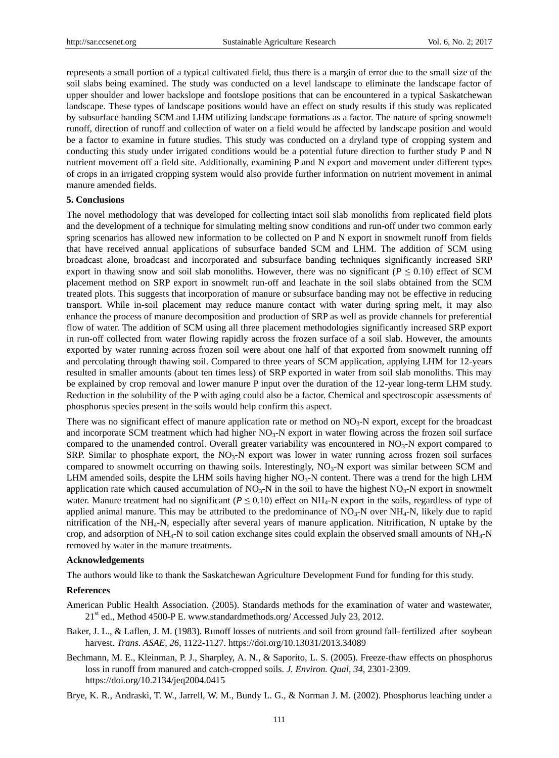represents a small portion of a typical cultivated field, thus there is a margin of error due to the small size of the soil slabs being examined. The study was conducted on a level landscape to eliminate the landscape factor of upper shoulder and lower backslope and footslope positions that can be encountered in a typical Saskatchewan landscape. These types of landscape positions would have an effect on study results if this study was replicated by subsurface banding SCM and LHM utilizing landscape formations as a factor. The nature of spring snowmelt runoff, direction of runoff and collection of water on a field would be affected by landscape position and would be a factor to examine in future studies. This study was conducted on a dryland type of cropping system and conducting this study under irrigated conditions would be a potential future direction to further study P and N nutrient movement off a field site. Additionally, examining P and N export and movement under different types of crops in an irrigated cropping system would also provide further information on nutrient movement in animal manure amended fields.

#### **5. Conclusions**

The novel methodology that was developed for collecting intact soil slab monoliths from replicated field plots and the development of a technique for simulating melting snow conditions and run-off under two common early spring scenarios has allowed new information to be collected on P and N export in snowmelt runoff from fields that have received annual applications of subsurface banded SCM and LHM. The addition of SCM using broadcast alone, broadcast and incorporated and subsurface banding techniques significantly increased SRP export in thawing snow and soil slab monoliths. However, there was no significant ( $P \le 0.10$ ) effect of SCM placement method on SRP export in snowmelt run-off and leachate in the soil slabs obtained from the SCM treated plots. This suggests that incorporation of manure or subsurface banding may not be effective in reducing transport. While in-soil placement may reduce manure contact with water during spring melt, it may also enhance the process of manure decomposition and production of SRP as well as provide channels for preferential flow of water. The addition of SCM using all three placement methodologies significantly increased SRP export in run-off collected from water flowing rapidly across the frozen surface of a soil slab. However, the amounts exported by water running across frozen soil were about one half of that exported from snowmelt running off and percolating through thawing soil. Compared to three years of SCM application, applying LHM for 12-years resulted in smaller amounts (about ten times less) of SRP exported in water from soil slab monoliths. This may be explained by crop removal and lower manure P input over the duration of the 12-year long-term LHM study. Reduction in the solubility of the P with aging could also be a factor. Chemical and spectroscopic assessments of phosphorus species present in the soils would help confirm this aspect.

There was no significant effect of manure application rate or method on  $NO<sub>3</sub>-N$  export, except for the broadcast and incorporate SCM treatment which had higher  $NO<sub>3</sub>-N$  export in water flowing across the frozen soil surface compared to the unamended control. Overall greater variability was encountered in  $NO<sub>3</sub>-N$  export compared to SRP. Similar to phosphate export, the  $NO<sub>3</sub>-N$  export was lower in water running across frozen soil surfaces compared to snowmelt occurring on thawing soils. Interestingly,  $NO<sub>3</sub>-N$  export was similar between SCM and LHM amended soils, despite the LHM soils having higher  $NO<sub>3</sub>-N$  content. There was a trend for the high LHM application rate which caused accumulation of  $NO_3-N$  in the soil to have the highest  $NO_3-N$  export in snowmelt water. Manure treatment had no significant ( $P \le 0.10$ ) effect on NH<sub>4</sub>-N export in the soils, regardless of type of applied animal manure. This may be attributed to the predominance of  $NO_3-N$  over  $NH_4-N$ , likely due to rapid nitrification of the NH4-N, especially after several years of manure application. Nitrification, N uptake by the crop, and adsorption of  $NH_4$ -N to soil cation exchange sites could explain the observed small amounts of  $NH_4$ -N removed by water in the manure treatments.

#### **Acknowledgements**

The authors would like to thank the Saskatchewan Agriculture Development Fund for funding for this study.

#### **References**

- American Public Health Association. (2005). Standards methods for the examination of water and wastewater, 21st ed., Method 4500-P E. www.standardmethods.org/ Accessed July 23, 2012.
- Baker, J. L., & Laflen, J. M. (1983). Runoff losses of nutrients and soil from ground fall-fertilized after soybean harvest. *Trans. ASAE*, *26*, 1122-1127. https://doi.org/10.13031/2013.34089
- Bechmann, M. E., Kleinman, P. J., Sharpley, A. N., & Saporito, L. S. (2005). Freeze-thaw effects on phosphorus loss in runoff from manured and catch-cropped soils. *J. Environ. Qual, 34*, 2301-2309. https://doi.org/10.2134/jeq2004.0415
- Brye, K. R., Andraski, T. W., Jarrell, W. M., Bundy L. G., & Norman J. M. (2002). Phosphorus leaching under a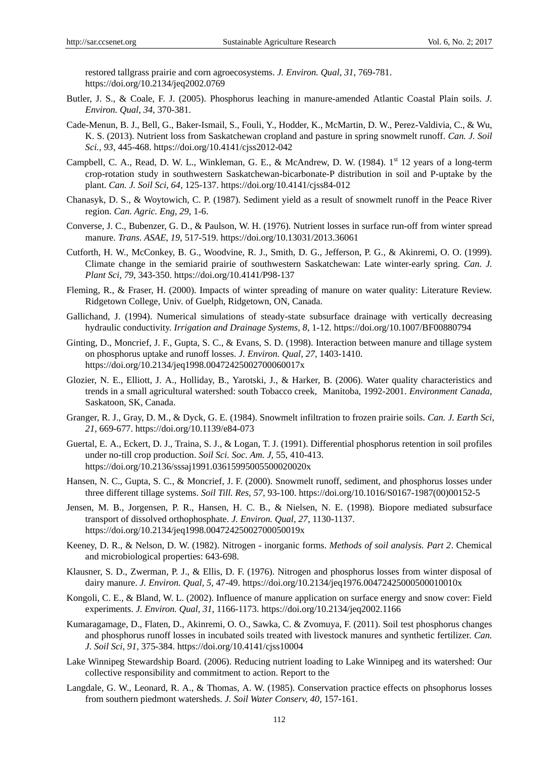restored tallgrass prairie and corn agroecosystems. *J. Environ. Qual, 31*, 769-781. https://doi.org/10.2134/jeq2002.0769

- Butler, J. S., & Coale, F. J. (2005). Phosphorus leaching in manure-amended Atlantic Coastal Plain soils. *J. Environ. Qual*, *34*, 370-381.
- Cade-Menun, B. J., Bell, G., Baker-Ismail, S., Fouli, Y., Hodder, K., McMartin, D. W., Perez-Valdivia, C., & Wu, K. S. (2013). Nutrient loss from Saskatchewan cropland and pasture in spring snowmelt runoff. *Can. J. Soil Sci., 93*, 445-468. https://doi.org/10.4141/cjss2012-042
- Campbell, C. A., Read, D. W. L., Winkleman, G. E., & McAndrew, D. W. (1984). 1st 12 years of a long-term crop-rotation study in southwestern Saskatchewan-bicarbonate-P distribution in soil and P-uptake by the plant. *Can. J. Soil Sci*, *64*, 125-137. https://doi.org/10.4141/cjss84-012
- Chanasyk, D. S., & Woytowich, C. P. (1987). Sediment yield as a result of snowmelt runoff in the Peace River region. *Can. Agric. Eng*, *29*, 1-6.
- Converse, J. C., Bubenzer, G. D., & Paulson, W. H. (1976). Nutrient losses in surface run-off from winter spread manure. *Trans. ASAE*, *19*, 517-519. https://doi.org/10.13031/2013.36061
- Cutforth, H. W., McConkey, B. G., Woodvine, R. J., Smith, D. G., Jefferson, P. G., & Akinremi, O. O. (1999). Climate change in the semiarid prairie of southwestern Saskatchewan: Late winter-early spring. *Can. J. Plant Sci, 79*, 343-350. https://doi.org/10.4141/P98-137
- Fleming, R., & Fraser, H. (2000). Impacts of winter spreading of manure on water quality: Literature Review. Ridgetown College, Univ. of Guelph, Ridgetown, ON, Canada.
- Gallichand, J. (1994). Numerical simulations of steady-state subsurface drainage with vertically decreasing hydraulic conductivity. *Irrigation and Drainage Systems, 8*, 1-12. https://doi.org/10.1007/BF00880794
- Ginting, D., Moncrief, J. F., Gupta, S. C., & Evans, S. D. (1998). Interaction between manure and tillage system on phosphorus uptake and runoff losses. *J. Environ. Qual*, *27*, 1403-1410. https://doi.org/10.2134/jeq1998.00472425002700060017x
- Glozier, N. E., Elliott, J. A., Holliday, B., Yarotski, J., & Harker, B. (2006). Water quality characteristics and trends in a small agricultural watershed: south Tobacco creek, Manitoba, 1992-2001. *Environment Canada*, Saskatoon, SK, Canada.
- Granger, R. J., Gray, D. M., & Dyck, G. E. (1984). Snowmelt infiltration to frozen prairie soils. *Can. J. Earth Sci*, *21*, 669-677. https://doi.org/10.1139/e84-073
- Guertal, E. A., Eckert, D. J., Traina, S. J., & Logan, T. J. (1991). Differential phosphorus retention in soil profiles under no-till crop production. *Soil Sci. Soc. Am. J*, 55, 410-413. https://doi.org/10.2136/sssaj1991.03615995005500020020x
- Hansen, N. C., Gupta, S. C., & Moncrief, J. F. (2000). Snowmelt runoff, sediment, and phosphorus losses under three different tillage systems. *Soil Till. Res, 57*, 93-100. https://doi.org/10.1016/S0167-1987(00)00152-5
- Jensen, M. B., Jorgensen, P. R., Hansen, H. C. B., & Nielsen, N. E. (1998). Biopore mediated subsurface transport of dissolved orthophosphate. *J. Environ. Qual, 27*, 1130-1137. https://doi.org/10.2134/jeq1998.00472425002700050019x
- Keeney, D. R., & Nelson, D. W. (1982). Nitrogen inorganic forms. *Methods of soil analysis. Part 2*. Chemical and microbiological properties: 643-698.
- Klausner, S. D., Zwerman, P. J., & Ellis, D. F. (1976). Nitrogen and phosphorus losses from winter disposal of dairy manure. *J. Environ. Qual, 5*, 47-49. https://doi.org/10.2134/jeq1976.00472425000500010010x
- Kongoli, C. E., & Bland, W. L. (2002). Influence of manure application on surface energy and snow cover: Field experiments. *J. Environ. Qual, 31*, 1166-1173. https://doi.org/10.2134/jeq2002.1166
- Kumaragamage, D., Flaten, D., Akinremi, O. O., Sawka, C. & Zvomuya, F. (2011). Soil test phosphorus changes and phosphorus runoff losses in incubated soils treated with livestock manures and synthetic fertilizer. *Can. J. Soil Sci, 91*, 375-384. https://doi.org/10.4141/cjss10004
- Lake Winnipeg Stewardship Board. (2006). Reducing nutrient loading to Lake Winnipeg and its watershed: Our collective responsibility and commitment to action. Report to the
- Langdale, G. W., Leonard, R. A., & Thomas, A. W. (1985). Conservation practice effects on phsophorus losses from southern piedmont watersheds. *J. Soil Water Conserv, 40,* 157-161.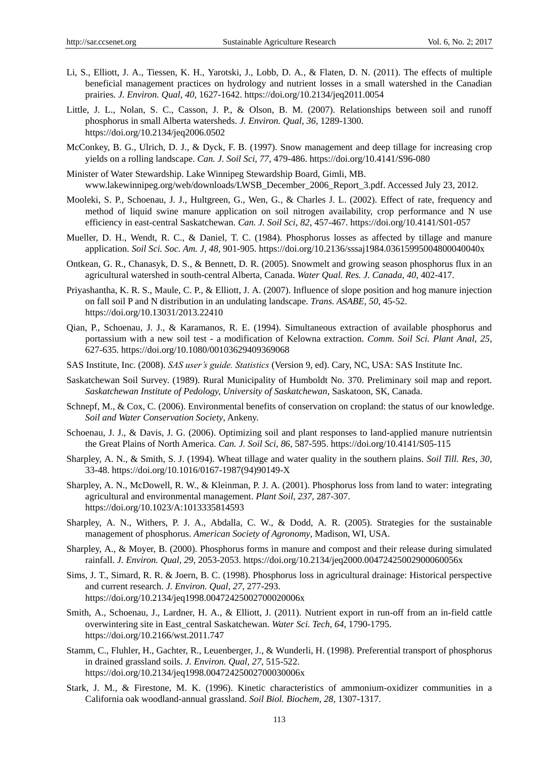- Li, S., Elliott, J. A., Tiessen, K. H., Yarotski, J., Lobb, D. A., & Flaten, D. N. (2011). The effects of multiple beneficial management practices on hydrology and nutrient losses in a small watershed in the Canadian prairies. *J. Environ. Qual, 40*, 1627-1642. https://doi.org/10.2134/jeq2011.0054
- Little, J. L., Nolan, S. C., Casson, J. P., & Olson, B. M. (2007). Relationships between soil and runoff phosphorus in small Alberta watersheds. *J. Environ. Qual, 36,* 1289-1300. https://doi.org/10.2134/jeq2006.0502
- McConkey, B. G., Ulrich, D. J., & Dyck, F. B. (1997). Snow management and deep tillage for increasing crop yields on a rolling landscape. *Can. J. Soil Sci, 77*, 479-486. https://doi.org/10.4141/S96-080
- Minister of Water Stewardship. Lake Winnipeg Stewardship Board, Gimli, MB. www.lakewinnipeg.org/web/downloads/LWSB\_December\_2006\_Report\_3.pdf. Accessed July 23, 2012.
- Mooleki, S. P., Schoenau, J. J., Hultgreen, G., Wen, G., & Charles J. L. (2002). Effect of rate, frequency and method of liquid swine manure application on soil nitrogen availability, crop performance and N use efficiency in east-central Saskatchewan. *Can. J. Soil Sci, 82*, 457-467. https://doi.org/10.4141/S01-057
- Mueller, D. H., Wendt, R. C., & Daniel, T. C. (1984). Phosphorus losses as affected by tillage and manure application. *Soil Sci. Soc. Am. J, 48*, 901-905. https://doi.org/10.2136/sssaj1984.03615995004800040040x
- Ontkean, G. R., Chanasyk, D. S., & Bennett, D. R. (2005). Snowmelt and growing season phosphorus flux in an agricultural watershed in south-central Alberta, Canada. *Water Qual. Res. J. Canada, 40*, 402-417.
- Priyashantha, K. R. S., Maule, C. P., & Elliott, J. A. (2007). Influence of slope position and hog manure injection on fall soil P and N distribution in an undulating landscape. *Trans. ASABE, 50*, 45-52. https://doi.org/10.13031/2013.22410
- Qian, P., Schoenau, J. J., & Karamanos, R. E. (1994). Simultaneous extraction of available phosphorus and portassium with a new soil test - a modification of Kelowna extraction. *Comm. Soil Sci. Plant Anal, 25*, 627-635. https://doi.org/10.1080/00103629409369068
- SAS Institute, Inc. (2008). *SAS user's guide. Statistics* (Version 9, ed). Cary, NC, USA: SAS Institute Inc.
- Saskatchewan Soil Survey. (1989). Rural Municipality of Humboldt No. 370. Preliminary soil map and report. *Saskatchewan Institute of Pedology, University of Saskatchewan*, Saskatoon, SK, Canada.
- Schnepf, M., & Cox, C. (2006). Environmental benefits of conservation on cropland: the status of our knowledge. *Soil and Water Conservation Society*, Ankeny.
- Schoenau, J. J., & Davis, J. G. (2006). Optimizing soil and plant responses to land-applied manure nutrientsin the Great Plains of North America. *Can. J. Soil Sci, 86*, 587-595. https://doi.org/10.4141/S05-115
- Sharpley, A. N., & Smith, S. J. (1994). Wheat tillage and water quality in the southern plains. *Soil Till. Res, 30*, 33-48. https://doi.org/10.1016/0167-1987(94)90149-X
- Sharpley, A. N., McDowell, R. W., & Kleinman, P. J. A. (2001). Phosphorus loss from land to water: integrating agricultural and environmental management. *Plant Soil, 237*, 287-307. https://doi.org/10.1023/A:1013335814593
- Sharpley, A. N., Withers, P. J. A., Abdalla, C. W., & Dodd, A. R. (2005). Strategies for the sustainable management of phosphorus. *American Society of Agronomy*, Madison, WI, USA.
- Sharpley, A., & Moyer, B. (2000). Phosphorus forms in manure and compost and their release during simulated rainfall. *J. Environ. Qual, 29,* 2053-2053. https://doi.org/10.2134/jeq2000.00472425002900060056x
- Sims, J. T., Simard, R. R. & Joern, B. C. (1998). Phosphorus loss in agricultural drainage: Historical perspective and current research. *J. Environ. Qual, 27*, 277-293. https://doi.org/10.2134/jeq1998.00472425002700020006x
- Smith, A., Schoenau, J., Lardner, H. A., & Elliott, J. (2011). Nutrient export in run-off from an in-field cattle overwintering site in East\_central Saskatchewan. *Water Sci. Tech, 64*, 1790-1795. https://doi.org/10.2166/wst.2011.747
- Stamm, C., Fluhler, H., Gachter, R., Leuenberger, J., & Wunderli, H. (1998). Preferential transport of phosphorus in drained grassland soils. *J. Environ. Qual, 27*, 515-522. https://doi.org/10.2134/jeq1998.00472425002700030006x
- Stark, J. M., & Firestone, M. K. (1996). Kinetic characteristics of ammonium-oxidizer communities in a California oak woodland-annual grassland. *Soil Biol. Biochem, 28*, 1307-1317.